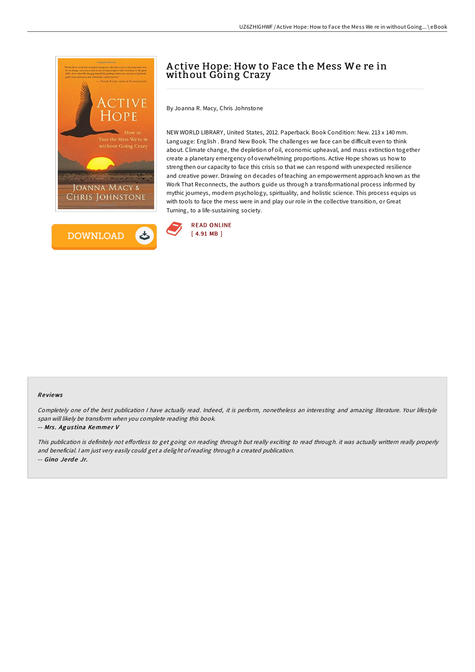



# A ctive Hope: How to Face the Mess We re in without Going Crazy

By Joanna R. Macy, Chris Johnstone

NEW WORLD LIBRARY, United States, 2012. Paperback. Book Condition: New. 213 x 140 mm. Language: English . Brand New Book. The challenges we face can be difficult even to think about. Climate change, the depletion of oil, economic upheaval, and mass extinction together create a planetary emergency of overwhelming proportions. Active Hope shows us how to strengthen our capacity to face this crisis so that we can respond with unexpected resilience and creative power. Drawing on decades of teaching an empowerment approach known as the Work That Reconnects, the authors guide us through a transformational process informed by mythic journeys, modern psychology, spirituality, and holistic science. This process equips us with tools to face the mess were in and play our role in the collective transition, or Great Turning, to a life-sustaining society.



### Re views

Completely one of the best publication <sup>I</sup> have actually read. Indeed, it is perform, nonetheless an interesting and amazing literature. Your lifestyle span will likely be transform when you complete reading this book.

#### -- Mrs. Agustina Kemmer V

This publication is definitely not effortless to get going on reading through but really exciting to read through. it was actually writtern really properly and beneficial. <sup>I</sup> am just very easily could get <sup>a</sup> delight ofreading through <sup>a</sup> created publication. -- Gino Jerde Jr.